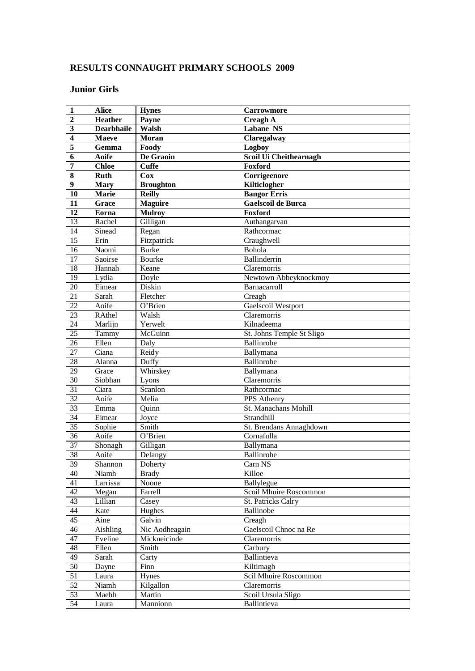# **RESULTS CONNAUGHT PRIMARY SCHOOLS 2009**

### **Junior Girls**

| $\mathbf{1}$            | <b>Alice</b>      | <b>Hynes</b>              | <b>Carrowmore</b>         |
|-------------------------|-------------------|---------------------------|---------------------------|
| $\overline{2}$          | <b>Heather</b>    | Payne                     | <b>Creagh A</b>           |
| 3                       | <b>Dearbhaile</b> | Walsh                     | <b>Labane NS</b>          |
| $\overline{\mathbf{4}}$ | Maeve             | Moran                     | <b>Claregalway</b>        |
| $\overline{\mathbf{5}}$ | Gemma             | Foody                     | Logboy                    |
| 6                       | <b>Aoife</b>      | De Graoin                 | Scoil Ui Cheithearnagh    |
| 7                       | <b>Chloe</b>      | <b>Cuffe</b>              | Foxford                   |
| $\overline{\bf 8}$      | <b>Ruth</b>       | Cox                       | Corrigeenore              |
| 9                       | <b>Mary</b>       | <b>Broughton</b>          | Kilticlogher              |
| 10                      | Marie             | <b>Reilly</b>             | <b>Bangor Erris</b>       |
| 11                      | Grace             | <b>Maguire</b>            | <b>Gaelscoil de Burca</b> |
| 12                      | Eorna             | <b>Mulroy</b>             | Foxford                   |
| $\overline{13}$         | Rachel            | Gilligan                  | Authangarvan              |
| 14                      | Sinead            | Regan                     | Rathcormac                |
| 15                      | Erin              | Fitzpatrick               | Craughwell                |
| 16                      | Naomi             | <b>Burke</b>              | Bohola                    |
| $\overline{17}$         | Saoirse           | Bourke                    | Ballinderrin              |
| 18                      | Hannah            | Keane                     | Claremorris               |
| $\overline{19}$         | Lydia             | Doyle                     | Newtown Abbeyknockmoy     |
| $\overline{20}$         | Eimear            | Diskin                    | Barnacarroll              |
| $\overline{21}$         | Sarah             | Fletcher                  | Creagh                    |
| $\overline{22}$         | Aoife             | O'Brien                   | Gaelscoil Westport        |
| 23                      | RAthel            | Walsh                     | Claremorris               |
| $\overline{24}$         | Marlijn           | Yerwelt                   | Kilnadeema                |
| $\overline{25}$         | Tammy             | McGuinn                   | St. Johns Temple St Sligo |
| 26                      | Ellen             | Daly                      | Ballinrobe                |
| 27                      | Ciana             | <b>Reidy</b>              | Ballymana                 |
| 28                      | Alanna            | Duffy                     | Ballinrobe                |
| $\overline{29}$         | Grace             | Whirskey                  | Ballymana                 |
| $\overline{30}$         | Siobhan           | Lyons                     | Claremorris               |
| $\overline{31}$         | Ciara             | Scanlon                   | Rathcormac                |
| 32                      | Aoife             | Melia                     | PPS Athenry               |
| $\overline{33}$         | Emma              | Quinn                     | St. Manachans Mohill      |
| 34                      | Eimear            | Joyce                     | Strandhill                |
| 35                      | Sophie            | Smith                     | St. Brendans Annaghdown   |
| $\overline{36}$         | Aoife             | $\overline{O}$ 'Brien     | Cornafulla                |
| 37                      | Shonagh           | Gilligan                  | Ballymana                 |
| $\overline{38}$         | Aoife             | Delangy                   | Ballinrobe                |
| 39                      | Shannon           | Doherty                   | Carn NS                   |
| 40                      | Niamh             | <b>Brady</b>              | Killoe                    |
| 41                      | Larrissa          | Noone                     | Ballylegue                |
| 42                      | Megan             | Farrell                   | Scoil Mhuire Roscommon    |
| 43                      | Lillian           | Casey                     | St. Patricks Calry        |
| 44                      | Kate              | Hughes                    | Ballinobe                 |
| 45                      | Aine              | Galvin                    | Creagh                    |
| $\overline{46}$         | Aishling          | Nic Aodheagain            | Gaelscoil Chnoc na Re     |
| 47                      | Eveline           | Mickneicinde              | Claremorris               |
| 48                      | Ellen             | $\overline{\text{Smith}}$ | Carbury                   |
| 49                      | Sarah             | Carty                     | Ballintieva               |
| 50                      | Dayne             | Finn                      | Kiltimagh                 |
| 51                      | Laura             | Hynes                     | Scil Mhuire Roscommon     |
| 52                      | Niamh             | Kilgallon                 | Claremorris               |
| $\overline{53}$         | Maebh             | Martin                    | Scoil Ursula Sligo        |
| 54                      | Laura             | Mannionn                  | Ballintieva               |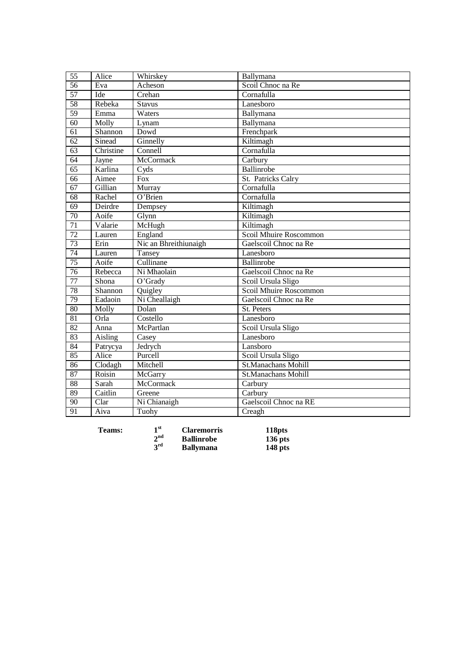| $\overline{55}$ | Alice     | Whirskey              | Ballymana                  |
|-----------------|-----------|-----------------------|----------------------------|
| 56              | Eva       | Acheson               | Scoil Chnoc na Re          |
| 57              | Ide       | Crehan                | Cornafulla                 |
| $\overline{58}$ | Rebeka    | Stavus                | Lanesboro                  |
| 59              | Emma      | Waters                | Ballymana                  |
| 60              | Molly     | Lynam                 | Ballymana                  |
| 61              | Shannon   | Dowd                  | Frenchpark                 |
| 62              | Sinead    | Ginnelly              | Kiltimagh                  |
| 63              | Christine | Connell               | Cornafulla                 |
| $\overline{64}$ | Jayne     | <b>McCormack</b>      | Carbury                    |
| 65              | Karlina   | Cyds                  | Ballinrobe                 |
| 66              | Aimee     | Fox                   | St. Patricks Calry         |
| $\overline{67}$ | Gillian   | Murray                | Cornafulla                 |
| 68              | Rachel    | $O3$ Brien            | Cornafulla                 |
| $\overline{69}$ | Deirdre   | Dempsey               | Kiltimagh                  |
| 70              | Aoife     | Glynn                 | Kiltimagh                  |
| $\overline{71}$ | Valarie   | McHugh                | Kiltimagh                  |
| 72              | Lauren    | England               | Scoil Mhuire Roscommon     |
| 73              | Erin      | Nic an Bhreithiunaigh | Gaelscoil Chnoc na Re      |
| 74              | Lauren    | Tansey                | Lanesboro                  |
| 75              | Aoife     | Cullinane             | Ballinrobe                 |
| 76              | Rebecca   | Ni Mhaolain           | Gaelscoil Chnoc na Re      |
| 77              | Shona     | O'Grady               | Scoil Ursula Sligo         |
| 78              | Shannon   | Quigley               | Scoil Mhuire Roscommon     |
| $\overline{79}$ | Eadaoin   | Ni Cheallaigh         | Gaelscoil Chnoc na Re      |
| $\overline{80}$ | Molly     | Dolan                 | St. Peters                 |
| 81              | Orla      | Costello              | Lanesboro                  |
| 82              | Anna      | McPartlan             | Scoil Ursula Sligo         |
| 83              | Aisling   | Casey                 | Lanesboro                  |
| 84              | Patrycya  | Jedrych               | Lansboro                   |
| 85              | Alice     | Purcell               | Scoil Ursula Sligo         |
| 86              | Clodagh   | Mitchell              | <b>St.Manachans Mohill</b> |
| 87              | Roisin    | McGarry               | St.Manachans Mohill        |
| 88              | Sarah     | McCormack             | Carbury                    |
| 89              | Caitlin   | Greene                | Carbury                    |
| $\overline{90}$ | Clar      | Ni Chianaigh          | Gaelscoil Chnoc na RE      |
| $\overline{91}$ | Aiva      | Tuohy                 | Creagh                     |

**Teams: 1**

**st Claremorris 118pts nd Ballinrobe 136 pts rd Ballymana 148 pts**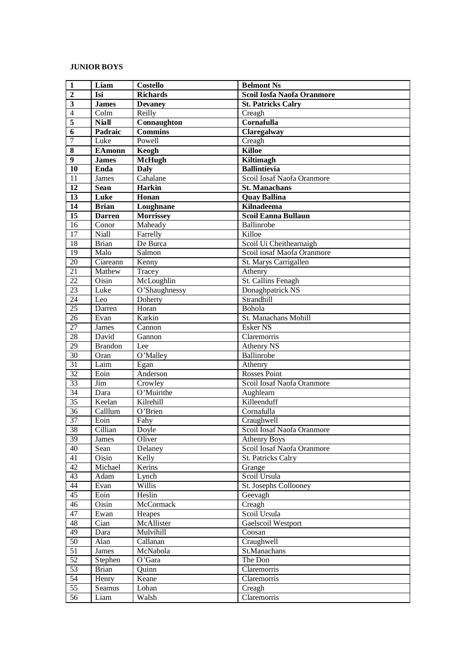## **JUNIOR BOYS**

| $\mathbf{1}$            | Liam                       | <b>Costello</b>  | <b>Belmont Ns</b>            |
|-------------------------|----------------------------|------------------|------------------------------|
| $\overline{2}$          | Isi                        | <b>Richards</b>  | Scoil Iosfa Naofa Oranmore   |
| 3                       | <b>James</b>               | <b>Devaney</b>   | <b>St. Patricks Calry</b>    |
| $\overline{4}$          | $\overline{\mathrm{Colm}}$ | Reilly           | Creagh                       |
| $\overline{\mathbf{5}}$ | <b>Niall</b>               | Connaughton      | Cornafulla                   |
| $\overline{6}$          | Padraic                    | <b>Commins</b>   | <b>Claregalway</b>           |
| $\overline{7}$          | Luke                       | Powell           | Creagh                       |
| 8                       | <b>EAmonn</b>              | Keogh            | <b>Killoe</b>                |
| $\overline{9}$          | <b>James</b>               | <b>McHugh</b>    | <b>Kiltimagh</b>             |
| 10                      | Enda                       | <b>Daly</b>      | <b>Ballintievia</b>          |
| $\overline{11}$         | James                      | Cahalane         | Scoil Iosaf Naofa Oranmore   |
| 12                      | <b>Sean</b>                | Harkin           | <b>St. Manachans</b>         |
| 13                      | Luke                       | Honan            | <b>Quay Ballina</b>          |
| 14                      | <b>Brian</b>               | Loughnane        | <b>Kilnadeema</b>            |
| 15                      | <b>Darren</b>              | <b>Morrissey</b> | <b>Scoil Eanna Bullaun</b>   |
| $\overline{16}$         | $\overline{\text{Conor}}$  | Maheady          | Ballinrobe                   |
| $\overline{17}$         | Niall                      | Farrelly         | Killoe                       |
| 18                      | <b>Brian</b>               | De Burca         | Scoil Ui Cheithearnaigh      |
| $\overline{19}$         | Malo                       | Salmon           | Scoil iosaf Maofa Oranmore   |
| 20                      | Ciareann                   | Kenny            | St. Marys Carrigallen        |
| 21                      | Mathew                     | Tracey           | Athenry                      |
| $\overline{22}$         | Oisin                      | McLoughlin       | St. Callins Fenagh           |
| 23                      | Luke                       | O'Shaughnessy    | Donaghpatrick NS             |
| 24                      | Leo                        | Doherty          | Strandhill                   |
| $\overline{25}$         | Darren                     | Horan            | Bohola                       |
| $\overline{26}$         | Evan                       | Karkin           | St. Manachans Mohill         |
| 27                      | <b>James</b>               | Cannon           | <b>Esker NS</b>              |
| 28                      | David                      | Gannon           | Claremorris                  |
| 29                      | <b>Brandon</b>             | Lee              | <b>Athenry NS</b>            |
| 30                      | Oran                       | O'Malley         | Ballinrobe                   |
| 31                      | Laim                       | Egan             | Athenry                      |
| 32                      | Eoin                       | Anderson         | <b>Rosses Point</b>          |
| 33                      | Jim                        | Crowley          | Scoil Iosaf Naofa Oranmore   |
| 34                      | Dara                       | O'Muirithe       | Aughlearn                    |
| $\overline{35}$         | Keelan                     | Kilrehill        | Killeenduff                  |
| 36                      | Calllum                    | $O3$ Brien       | Cornafulla                   |
| 37                      | Eoin                       | Fahy             | Craughwell                   |
| $\overline{38}$         | Cillian                    | Doyle            | Scoil Iosaf Naofa Oranmore   |
| 39                      | James                      | Oliver           | <b>Athenry Boys</b>          |
| 40                      | Sean                       | Delaney          | Scoil Iosaf Naofa Oranmore   |
| 41                      | Oisin                      | Kelly            | St. Patricks Calry           |
| $\overline{42}$         | Michael                    | Kerins           | Grange                       |
| 43                      | Adam                       | Lynch            | Scoil Ursula                 |
| 44                      | Evan                       | Willis           | <b>St. Josephs Collooney</b> |
| 45                      | Eoin                       | Heslin           | Geevagh                      |
| $\overline{46}$         | Oisin                      | <b>McCormack</b> | Creagh                       |
| 47                      | Ewan                       | Heapes           | Scoil Ursula                 |
| 48                      | Cian                       | McAllister       | Gaelscoil Westport           |
| 49                      | Dara                       | Mulvihill        | Coosan                       |
| 50                      | Alan                       | Callanan         | Craughwell                   |
| $\overline{51}$         | James                      | McNabola         | St.Manachans                 |
| 52                      | Stephen                    | O'Gara           | The Don                      |
| $\overline{53}$         | <b>Brian</b>               | Quinn            | Claremorris                  |
| $\overline{54}$         | Henry                      | Keane            | Claremorris                  |
| 55                      | Seamus                     | Lohan            | Creagh                       |
| 56                      | Liam                       | Walsh            | Claremorris                  |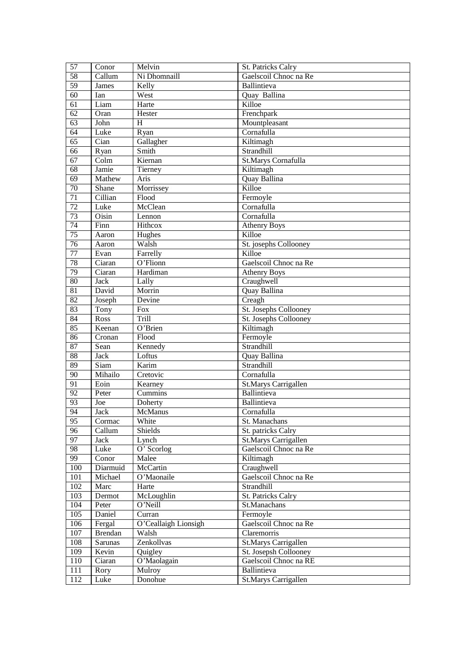| 57               | Conor                                | Melvin               | <b>St. Patricks Calry</b>    |
|------------------|--------------------------------------|----------------------|------------------------------|
| 58               | Callum                               | Ni Dhomnaill         | Gaelscoil Chnoc na Re        |
| $\overline{59}$  | James                                | Kelly                | Ballintieva                  |
| $\overline{60}$  | Ian                                  | West                 | Quay Ballina                 |
| 61               | Liam                                 | Harte                | Killoe                       |
| 62               | Oran                                 | Hester               | Frenchpark                   |
| $\overline{63}$  | John                                 | H                    | Mountpleasant                |
| 64               | Luke                                 | Ryan                 | Cornafulla                   |
| 65               | Cian                                 | Gallagher            | Kiltimagh                    |
| 66               | Ryan                                 | Smith                | Strandhill                   |
| $\overline{67}$  | Colm                                 | Kiernan              | St.Marys Cornafulla          |
| 68               | Jamie                                | Tierney              | Kiltimagh                    |
| $\overline{69}$  | Mathew                               | Aris                 | Quay Ballina                 |
| 70               | Shane                                | Morrissey            | Killoe                       |
| 71               | Cillian                              | Flood                | Fermoyle                     |
| 72               | Luke                                 | McClean              | Cornafulla                   |
| 73               | Oisin                                | Lennon               | Cornafulla                   |
| 74               | $\overline{\text{F}}$ <sub>inn</sub> | Hithcox              | <b>Athenry Boys</b>          |
| 75               | Aaron                                | Hughes               | Killoe                       |
| $\overline{76}$  | Aaron                                | Walsh                | St. josephs Collooney        |
| 77               | Evan                                 | Farrelly             | Killoe                       |
| 78               | Ciaran                               | O'Flionn             | Gaelscoil Chnoc na Re        |
| $\overline{79}$  | Ciaran                               | Hardiman             | <b>Athenry Boys</b>          |
| 80               | <b>Jack</b>                          | Lally                | Craughwell                   |
| 81               | David                                | Morrin               | Quay Ballina                 |
| 82               | Joseph                               | Devine               | Creagh                       |
| $\overline{83}$  | Tony                                 | Fox                  | <b>St. Josephs Collooney</b> |
| 84               | Ross                                 | Trill                | <b>St. Josephs Collooney</b> |
| 85               | Keenan                               | O'Brien              | Kiltimagh                    |
| 86               | Cronan                               | Flood                | Fermoyle                     |
| 87               | Sean                                 | Kennedy              | Strandhill                   |
| 88               | <b>Jack</b>                          | Loftus               | <b>Quay Ballina</b>          |
| 89               | Siam                                 | Karim                | Strandhill                   |
| 90               | Mihailo                              | Cretovic             | Cornafulla                   |
| 91               | Eoin                                 | Kearney              | <b>St.Marys Carrigallen</b>  |
| $\overline{92}$  | Peter                                | Cummins              | Ballintieva                  |
| $\overline{93}$  | Joe                                  | Doherty              | Ballintieva                  |
| 94               | <b>Jack</b>                          | <b>McManus</b>       | Cornafulla                   |
| $\overline{95}$  | Cormac                               | White                | St. Manachans                |
| $\overline{96}$  | Callum                               | Shields              | St. patricks Calry           |
| $\overline{97}$  | Jack                                 | Lynch                | <b>St.Marys Carrigallen</b>  |
| 98               | Luke                                 | O' Scorlog           | Gaelscoil Chnoc na Re        |
| 99               | Conor                                | Malee                | Kiltimagh                    |
| 100              | Diarmuid                             | McCartin             | Craughwell                   |
| 101              | Michael                              | O'Maonaile           | Gaelscoil Chnoc na Re        |
| 102              | Marc                                 | Harte                | Strandhill                   |
| 103              | Dermot                               | McLoughlin           | <b>St. Patricks Calry</b>    |
| 104              | Peter                                | O'Neill              | St.Manachans                 |
| $\overline{105}$ | Daniel                               | Curran               | Fermoyle                     |
| 106              | Fergal                               | O'Ceallaigh Lionsigh | Gaelscoil Chnoc na Re        |
| 107              | <b>Brendan</b>                       | Walsh                | Claremorris                  |
| 108              | Sarunas                              | Zenkollvas           | <b>St.Marys Carrigallen</b>  |
| 109              | Kevin                                | Quigley              | St. Josepsh Collooney        |
| 110              | Ciaran                               | O'Maolagain          | Gaelscoil Chnoc na RE        |
| 111              | Rory                                 | Mulroy               | Ballintieva                  |
| 112              | Luke                                 | Donohue              | <b>St.Marys Carrigallen</b>  |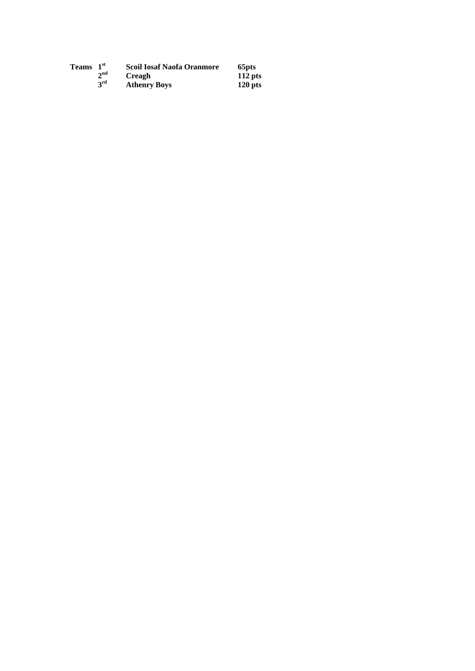| <b>Teams</b> | 1 <sup>st</sup> | <b>Scoil Iosaf Naofa Oranmore</b> | 65 <sub>pts</sub> |
|--------------|-----------------|-----------------------------------|-------------------|
|              | $2^{\text{nd}}$ | <b>Creagh</b>                     | $112$ pts         |
|              | 3 <sup>rd</sup> | <b>Athenry Boys</b>               | $120$ pts         |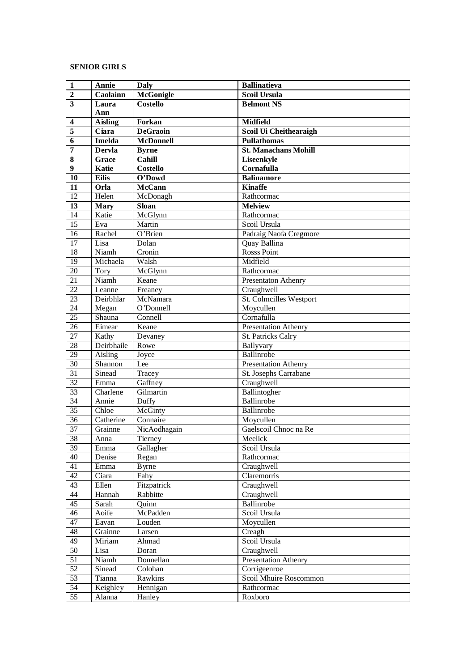## **SENIOR GIRLS**

| $\mathbf{1}$            | Annie          | Daly             | <b>Ballinatieva</b>            |
|-------------------------|----------------|------------------|--------------------------------|
| $\boldsymbol{2}$        | Caolainn       | <b>McGonigle</b> | <b>Scoil Ursula</b>            |
| $\overline{\mathbf{3}}$ | Laura          | <b>Costello</b>  | <b>Belmont NS</b>              |
|                         | Ann            |                  |                                |
| $\overline{\mathbf{4}}$ | <b>Aisling</b> | Forkan           | <b>Midfield</b>                |
| $\overline{\mathbf{5}}$ | Ciara          | <b>DeGraoin</b>  | Scoil Ui Cheithearaigh         |
| 6                       | <b>Imelda</b>  | <b>McDonnell</b> | <b>Pullathomas</b>             |
| $\overline{7}$          | <b>Dervla</b>  | <b>Byrne</b>     | <b>St. Manachans Mohill</b>    |
| 8                       | Grace          | Cahill           | Liseenkyle                     |
| 9                       | <b>Katie</b>   | <b>Costello</b>  | Cornafulla                     |
| 10                      | <b>Eilis</b>   | O'Dowd           | <b>Balinamore</b>              |
| 11                      | Orla           | <b>McCann</b>    | <b>Kinaffe</b>                 |
| $\overline{12}$         | Helen          | McDonagh         | Rathcormac                     |
| 13                      | <b>Mary</b>    | <b>Sloan</b>     | <b>Melview</b>                 |
| $\overline{14}$         | Katie          | McGlynn          | Rathcormac                     |
| $\overline{15}$         | Eva            | Martin           | Scoil Ursula                   |
| 16                      | Rachel         | O'Brien          | Padraig Naofa Cregmore         |
| 17                      | Lisa           | Dolan            | Quay Ballina                   |
| $\overline{18}$         | Niamh          | Cronin           | <b>Rosss Point</b>             |
| 19                      | Michaela       | Walsh            | Midfield                       |
| 20                      | Tory           | McGlynn          | Rathcormac                     |
| $\overline{21}$         | Niamh          | Keane            | Presentaton Athenry            |
| $\overline{22}$         | Leanne         | Freaney          | Craughwell                     |
| 23                      | Deirbhlar      | McNamara         | <b>St. Colmcilles Westport</b> |
| 24                      | Megan          | O'Donnell        | Moycullen                      |
| $\overline{25}$         | Shauna         | Connell          | Cornafulla                     |
| 26                      | Eimear         | Keane            | Presentation Athenry           |
| $\overline{27}$         | Kathy          | Devaney          | St. Patricks Calry             |
| $\overline{28}$         | Deirbhaile     | Rowe             | Ballyvary                      |
| 29                      | Aisling        | Joyce            | Ballinrobe                     |
| $\overline{30}$         | Shannon        | Lee              | Presentation Athenry           |
| $\overline{31}$         | Sinead         | Tracey           | St. Josephs Carrabane          |
| 32                      | Emma           | Gaffney          | Craughwell                     |
| 33                      | Charlene       | Gilmartin        | Ballintogher                   |
| $\overline{34}$         | Annie          | Duffy            | Ballinrobe                     |
| $\overline{35}$         | Chloe          | McGinty          | Ballinrobe                     |
| 36                      | Catherine      | Connaire         | Moycullen                      |
| $\overline{37}$         | Grainne        | NicAodhagain     | Gaelscoil Chnoc na Re          |
| 38                      | Anna           | Tierney          | Meelick                        |
| 39                      | Emma           | Gallagher        | Scoil Ursula                   |
| 40                      | Denise         | Regan            | Rathcormac                     |
| 41                      | Emma           | <b>Byrne</b>     | Craughwell                     |
| 42                      | Ciara          | Fahy             | Claremorris                    |
| 43                      | Ellen          | Fitzpatrick      | Craughwell                     |
| 44                      | Hannah         | Rabbitte         | Craughwell                     |
| 45                      | Sarah          | Quinn            | Ballinrobe                     |
| 46                      |                | McPadden         | Scoil Ursula                   |
| 47                      | Aoife<br>Eavan | Louden           | Moycullen                      |
| 48                      | Grainne        | Larsen           | Creagh                         |
| 49                      |                | Ahmad            | Scoil Ursula                   |
|                         | Miriam         |                  | Craughwell                     |
| 50                      | Lisa           | Doran            |                                |
| 51                      | Niamh          | Donnellan        | Presentation Athenry           |
| 52                      | Sinead         | Colohan          | Corrigeenroe                   |
| 53                      | Tianna         | Rawkins          | Scoil Mhuire Roscommon         |
| 54                      | Keighley       | Hennigan         | Rathcormac                     |
| 55                      | Alanna         | Hanley           | Roxboro                        |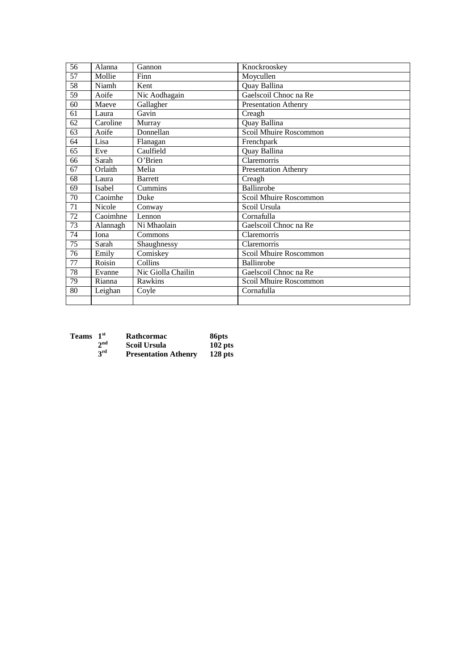| 56              | Alanna                       | Gannon             | Knockrooskey                |
|-----------------|------------------------------|--------------------|-----------------------------|
| $\overline{57}$ | Mollie                       | Finn               | Moycullen                   |
| 58              | Niamh                        | Kent               | Quay Ballina                |
| 59              | Aoife                        | Nic Aodhagain      | Gaelscoil Chnoc na Re       |
| 60              | Maeve                        | Gallagher          | Presentation Athenry        |
| 61              | Laura                        | Gavin              | Creagh                      |
| 62              | Caroline                     | Murray             | <b>Quay Ballina</b>         |
| 63              | Aoife                        | Donnellan          | Scoil Mhuire Roscommon      |
| 64              | Lisa                         | Flanagan           | Frenchpark                  |
| 65              | Eve                          | Caulfield          | Quay Ballina                |
| 66              | Sarah                        | O'Brien            | Claremorris                 |
| 67              | Orlaith                      | Melia              | <b>Presentation Athenry</b> |
| $\overline{68}$ | Laura                        | <b>Barrett</b>     | $\overline{C}$ reagh        |
| 69              | Isabel                       | <b>Cummins</b>     | Ballinrobe                  |
| 70              | $\overline{\text{C}}$ aoimhe | Duke               | Scoil Mhuire Roscommon      |
| 71              | Nicole                       | Conway             | Scoil Ursula                |
| 72              | Caoimhne                     | Lennon             | Cornafulla                  |
| 73              | Alannagh                     | Ni Mhaolain        | Gaelscoil Chnoc na Re       |
| 74              | Iona                         | Commons            | Claremorris                 |
| $\overline{75}$ | Sarah                        | Shaughnessy        | Claremorris                 |
| 76              | Emily                        | Comiskey           | Scoil Mhuire Roscommon      |
| 77              | Roisin                       | Collins            | Ballinrobe                  |
| 78              | Evanne                       | Nic Giolla Chailin | Gaelscoil Chnoc na Re       |
| 79              | Rianna                       | Rawkins            | Scoil Mhuire Roscommon      |
| 80              | Leighan                      | Coyle              | Cornafulla                  |
|                 |                              |                    |                             |

| <b>Teams</b> | 1 <sup>st</sup> | Rathcormac                  | 86 <sub>pts</sub> |
|--------------|-----------------|-----------------------------|-------------------|
|              | 2 <sup>nd</sup> | <b>Scoil Ursula</b>         | $102$ pts         |
|              | 3 <sup>rd</sup> | <b>Presentation Athenry</b> | $128$ pts         |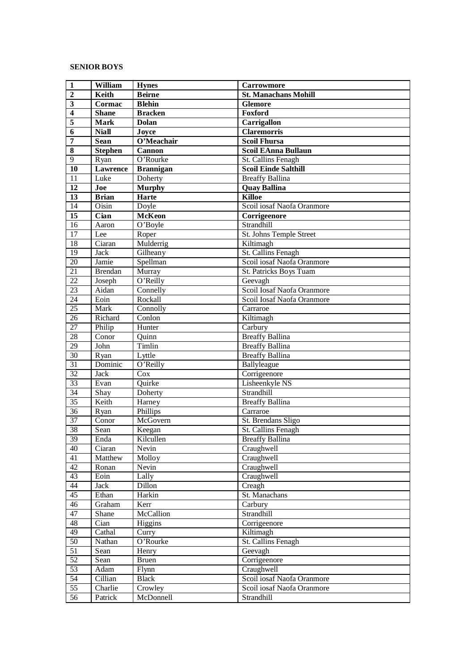### **SENIOR BOYS**

| $\mathbf{1}$            | William         | <b>Hynes</b>         | <b>Carrowmore</b>              |
|-------------------------|-----------------|----------------------|--------------------------------|
| $\overline{2}$          | Keith           | <b>Beirne</b>        | <b>St. Manachans Mohill</b>    |
| $\overline{\mathbf{3}}$ | Cormac          | <b>Blehin</b>        | <b>Glemore</b>                 |
| $\overline{\mathbf{4}}$ | <b>Shane</b>    | <b>Bracken</b>       | Foxford                        |
| $\overline{\mathbf{5}}$ | <b>Mark</b>     | <b>Dolan</b>         | Carrigallon                    |
| 6                       | <b>Niall</b>    | Joyce                | <b>Claremorris</b>             |
| 7                       | <b>Sean</b>     | O'Meachair           | <b>Scoil Fhursa</b>            |
| 8                       | <b>Stephen</b>  | <b>Cannon</b>        | Scoil EAnna Bullaun            |
| $\overline{9}$          | Ryan            | O'Rourke             | St. Callins Fenagh             |
| 10                      | <b>Lawrence</b> | <b>Brannigan</b>     | <b>Scoil Einde Salthill</b>    |
| 11                      | Luke            | Doherty              | <b>Breaffy Ballina</b>         |
| $\overline{12}$         | Joe             | Murphy               | <b>Quay Ballina</b>            |
| 13                      | <b>Brian</b>    | Harte                | <b>Killoe</b>                  |
| 14                      | Oisin           | Doyle                | Scoil iosaf Naofa Oranmore     |
| $\overline{15}$         | Cian            | <b>McKeon</b>        | Corrigeenore                   |
| 16                      | Aaron           | O'Boyle              | Strandhill                     |
| $\overline{17}$         | Lee             | Roper                | <b>St. Johns Temple Street</b> |
| 18                      | Ciaran          | Mulderrig            | Kiltimagh                      |
| 19                      | <b>Jack</b>     | Gilheany             | <b>St. Callins Fenagh</b>      |
| 20                      | Jamie           | Spellman             | Scoil iosaf Naofa Oranmore     |
| $\overline{21}$         | <b>Brendan</b>  | Murray               | St. Patricks Boys Tuam         |
| 22                      | Joseph          | O'Reilly             | Geevagh                        |
| $\overline{23}$         | Aidan           | Connelly             | Scoil Iosaf Naofa Oranmore     |
| $\overline{24}$         | Eoin            | Rockall              | Scoil Iosaf Naofa Oranmore     |
| 25                      | Mark            | Connolly             | Carraroe                       |
| 26                      | Richard         | Conlon               | Kiltimagh                      |
| 27                      | Philip          | Hunter               | Carbury                        |
| $\overline{28}$         | Conor           | Quinn                | <b>Breaffy Ballina</b>         |
| 29                      | John            | Timlin               | <b>Breaffy Ballina</b>         |
| $\overline{30}$         | Ryan            | Lyttle               | <b>Breaffy Ballina</b>         |
| $\overline{31}$         | Dominic         | O'Reilly             | Ballyleague                    |
| $\overline{32}$         | Jack            | Cox                  | Corrigeenore                   |
| 33                      | Evan            | Quirke               | Lisheenkyle NS                 |
| $\overline{34}$         | Shay            | Doherty              | Strandhill                     |
| $\overline{35}$         | Keith           | Harney               | <b>Breaffy Ballina</b>         |
| 36                      | Ryan            | Phillips             | Carraroe                       |
| $\overline{37}$         | Conor           | McGovern             | St. Brendans Sligo             |
| 38                      | Sean            | $\overline{K}$ eegan | St. Callins Fenagh             |
| 39                      | Enda            | Kilcullen            | <b>Breaffy Ballina</b>         |
| 40                      | Ciaran          | Nevin                | Craughwell                     |
| 41                      | Matthew         | Molloy               | Craughwell                     |
| $\overline{42}$         | Ronan           | Nevin                | Craughwell                     |
| 43                      | Eoin            | Lally                | Craughwell                     |
| 44                      | Jack            | Dillon               | Creagh                         |
| 45                      | Ethan           | Harkin               | St. Manachans                  |
| 46                      | Graham          | Kerr                 | Carbury                        |
| 47                      | Shane           | McCallion            | Strandhill                     |
| 48                      | Cian            | Higgins              | Corrigeenore                   |
| 49                      | Cathal          | Curry                | Kiltimagh                      |
| $\overline{50}$         | Nathan          | O'Rourke             | St. Callins Fenagh             |
| $\overline{51}$         | Sean            | Henry                | Geevagh                        |
| 52                      | Sean            | <b>Bruen</b>         | Corrigeenore                   |
| $\overline{53}$         | Adam            | Flynn                | Craughwell                     |
| $\overline{54}$         | Cillian         | <b>Black</b>         | Scoil iosaf Naofa Oranmore     |
| $\overline{55}$         | Charlie         | Crowley              | Scoil iosaf Naofa Oranmore     |
| 56                      | Patrick         | McDonnell            | Strandhill                     |